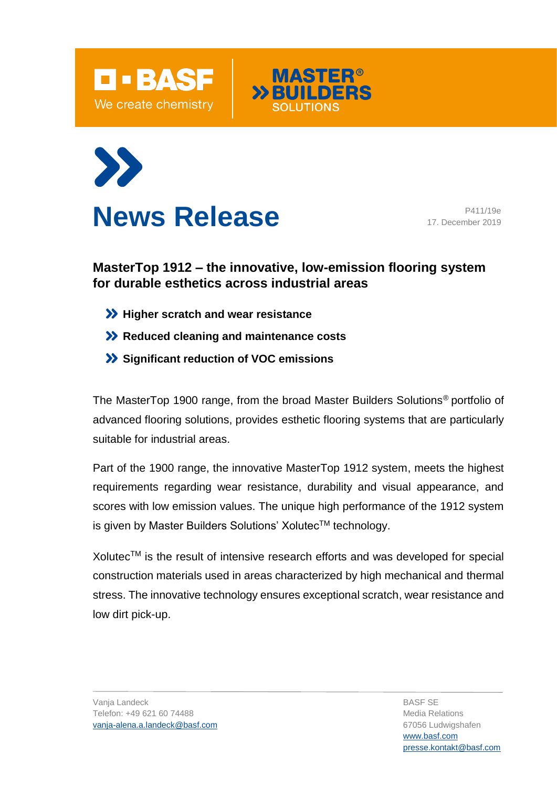



**MASTER<sup>®</sup>** 



17. December 2019

## **MasterTop 1912 – the innovative, low-emission flooring system for durable esthetics across industrial areas**

- **>> Higher scratch and wear resistance**
- **X** Reduced cleaning and maintenance costs
- **Significant reduction of VOC emissions**

The MasterTop 1900 range, from the broad Master Builders Solutions® portfolio of advanced flooring solutions, provides esthetic flooring systems that are particularly suitable for industrial areas.

Part of the 1900 range, the innovative MasterTop 1912 system, meets the highest requirements regarding wear resistance, durability and visual appearance, and scores with low emission values. The unique high performance of the 1912 system is given by Master Builders Solutions' Xolutec™ technology.

Xolutec™ is the result of intensive research efforts and was developed for special construction materials used in areas characterized by high mechanical and thermal stress. The innovative technology ensures exceptional scratch, wear resistance and low dirt pick-up.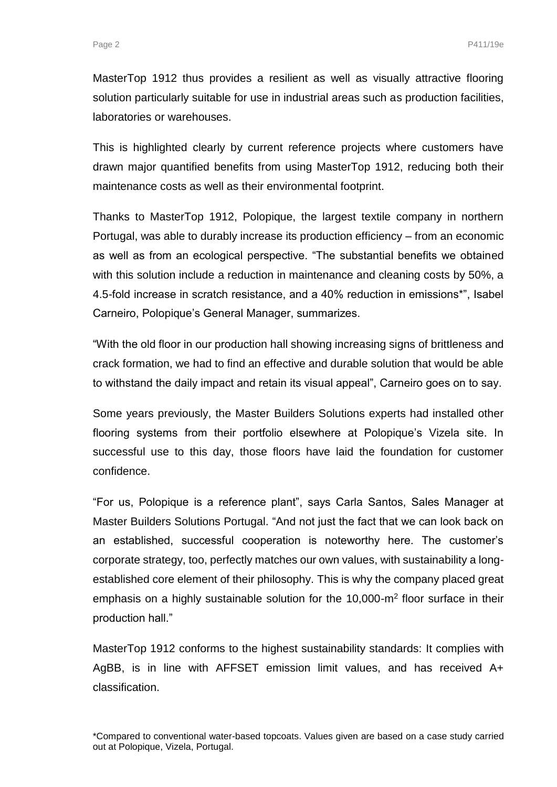MasterTop 1912 thus provides a resilient as well as visually attractive flooring solution particularly suitable for use in industrial areas such as production facilities, laboratories or warehouses.

This is highlighted clearly by current reference projects where customers have drawn major quantified benefits from using MasterTop 1912, reducing both their maintenance costs as well as their environmental footprint.

Thanks to MasterTop 1912, Polopique, the largest textile company in northern Portugal, was able to durably increase its production efficiency – from an economic as well as from an ecological perspective. "The substantial benefits we obtained with this solution include a reduction in maintenance and cleaning costs by 50%, a 4.5-fold increase in scratch resistance, and a 40% reduction in emissions\*", Isabel Carneiro, Polopique's General Manager, summarizes.

"With the old floor in our production hall showing increasing signs of brittleness and crack formation, we had to find an effective and durable solution that would be able to withstand the daily impact and retain its visual appeal", Carneiro goes on to say.

Some years previously, the Master Builders Solutions experts had installed other flooring systems from their portfolio elsewhere at Polopique's Vizela site. In successful use to this day, those floors have laid the foundation for customer confidence.

"For us, Polopique is a reference plant", says Carla Santos, Sales Manager at Master Builders Solutions Portugal. "And not just the fact that we can look back on an established, successful cooperation is noteworthy here. The customer's corporate strategy, too, perfectly matches our own values, with sustainability a longestablished core element of their philosophy. This is why the company placed great emphasis on a highly sustainable solution for the  $10,000$ -m<sup>2</sup> floor surface in their production hall."

MasterTop 1912 conforms to the highest sustainability standards: It complies with AgBB, is in line with AFFSET emission limit values, and has received A+ classification.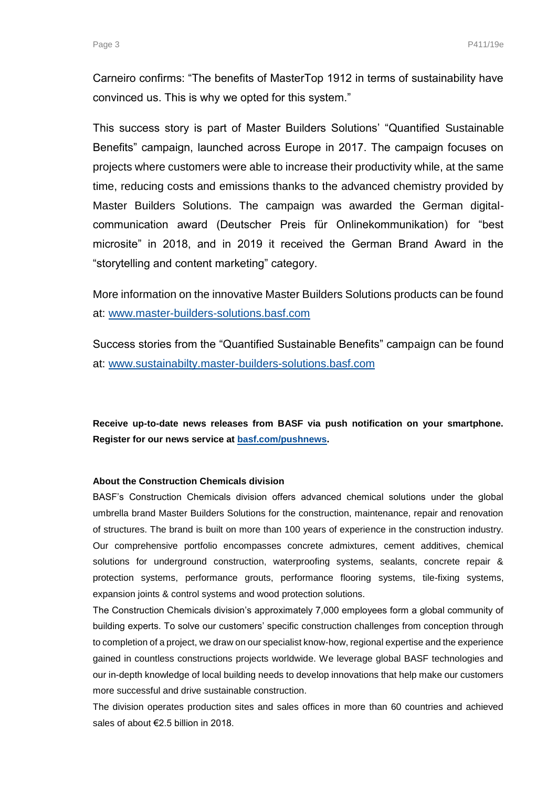Carneiro confirms: "The benefits of MasterTop 1912 in terms of sustainability have convinced us. This is why we opted for this system."

This success story is part of Master Builders Solutions' "Quantified Sustainable Benefits" campaign, launched across Europe in 2017. The campaign focuses on projects where customers were able to increase their productivity while, at the same time, reducing costs and emissions thanks to the advanced chemistry provided by Master Builders Solutions. The campaign was awarded the German digitalcommunication award (Deutscher Preis für Onlinekommunikation) for "best microsite" in 2018, and in 2019 it received the German Brand Award in the "storytelling and content marketing" category.

More information on the innovative Master Builders Solutions products can be found at: [www.master-builders-solutions.basf.com](http://www.master-builders-solutions.basf.com/)

Success stories from the "Quantified Sustainable Benefits" campaign can be found at: [www.sustainabilty.master-builders-solutions.basf.com](http://www.sustainabilty.master-builders-solutions.basf.com/)

**Receive up-to-date news releases from BASF via push notification on your smartphone. Register for our news service at [basf.com/pushnews.](http://www.basf.com/pushnews)** 

## **About the Construction Chemicals division**

BASF's Construction Chemicals division offers advanced chemical solutions under the global umbrella brand Master Builders Solutions for the construction, maintenance, repair and renovation of structures. The brand is built on more than 100 years of experience in the construction industry. Our comprehensive portfolio encompasses concrete admixtures, cement additives, chemical solutions for underground construction, waterproofing systems, sealants, concrete repair & protection systems, performance grouts, performance flooring systems, tile-fixing systems, expansion joints & control systems and wood protection solutions.

The Construction Chemicals division's approximately 7,000 employees form a global community of building experts. To solve our customers' specific construction challenges from conception through to completion of a project, we draw on our specialist know-how, regional expertise and the experience gained in countless constructions projects worldwide. We leverage global BASF technologies and our in-depth knowledge of local building needs to develop innovations that help make our customers more successful and drive sustainable construction.

The division operates production sites and sales offices in more than 60 countries and achieved sales of about €2.5 billion in 2018.